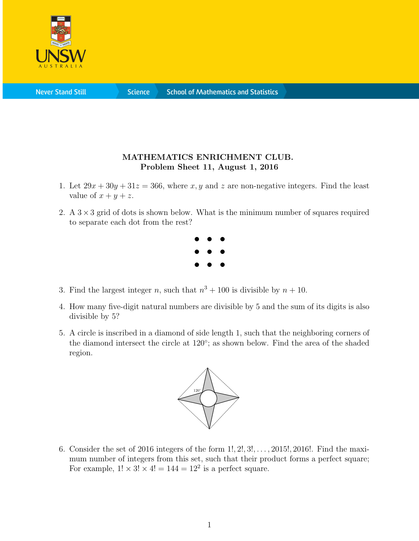

**Never Stand Still** 

**Science** 

## MATHEMATICS ENRICHMENT CLUB. Problem Sheet 11, August 1, 2016

- 1. Let  $29x + 30y + 31z = 366$ , where x, y and z are non-negative integers. Find the least value of  $x + y + z$ .
- 2. A  $3 \times 3$  grid of dots is shown below. What is the minimum number of squares required to separate each dot from the rest?



- 3. Find the largest integer n, such that  $n^3 + 100$  is divisible by  $n + 10$ .
- 4. How many five-digit natural numbers are divisible by 5 and the sum of its digits is also divisible by 5?
- 5. A circle is inscribed in a diamond of side length 1, such that the neighboring corners of the diamond intersect the circle at 120°; as shown below. Find the area of the shaded region.



6. Consider the set of 2016 integers of the form 1!, 2!, 3!, . . . , 2015!, 2016!. Find the maximum number of integers from this set, such that their product forms a perfect square; For example,  $1! \times 3! \times 4! = 144 = 12^2$  is a perfect square.